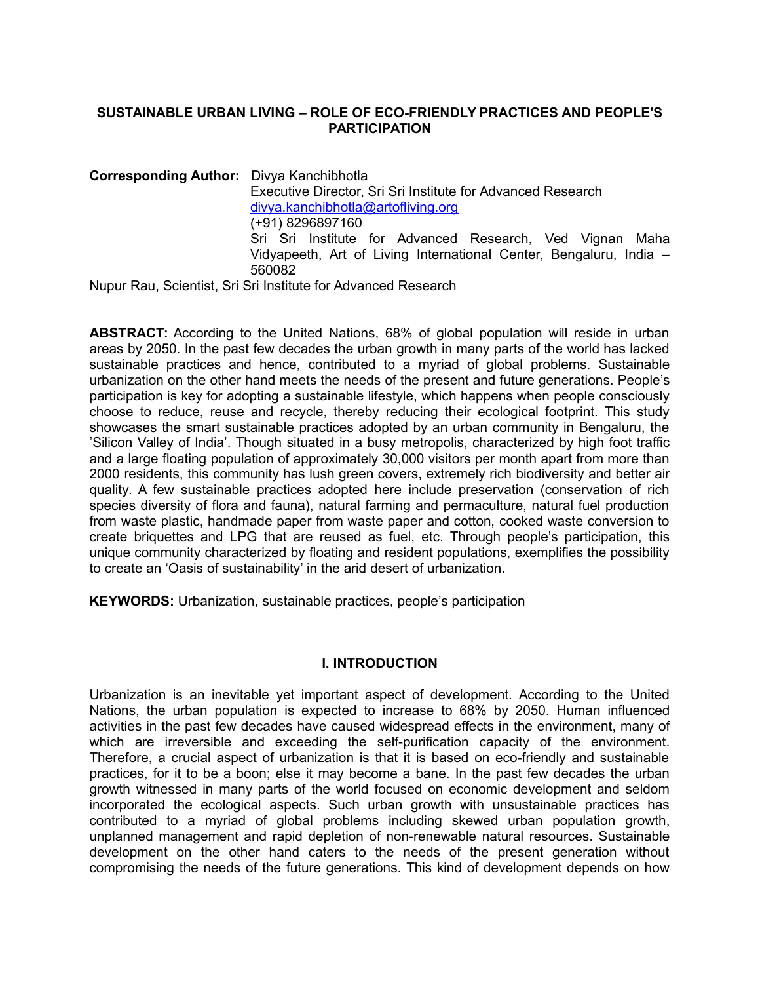## **SUSTAINABLE URBAN LIVING – ROLE OF ECO-FRIENDLY PRACTICES AND PEOPLE'S PARTICIPATION**

**Corresponding Author:** Divya Kanchibhotla Executive Director, Sri Sri Institute for Advanced Research [divya.kanchibhotla@artofliving.org](mailto:divya.kanchibhotla@artofliving.org) (+91) 8296897160 Sri Sri Institute for Advanced Research, Ved Vignan Maha Vidyapeeth, Art of Living International Center, Bengaluru, India – 560082 Nupur Rau, Scientist, Sri Sri Institute for Advanced Research

**ABSTRACT:** According to the United Nations, 68% of global population will reside in urban areas by 2050. In the past few decades the urban growth in many parts of the world has lacked sustainable practices and hence, contributed to a myriad of global problems. Sustainable urbanization on the other hand meets the needs of the present and future generations. People's participation is key for adopting a sustainable lifestyle, which happens when people consciously choose to reduce, reuse and recycle, thereby reducing their ecological footprint. This study showcases the smart sustainable practices adopted by an urban community in Bengaluru, the 'Silicon Valley of India'. Though situated in a busy metropolis, characterized by high foot traffic and a large floating population of approximately 30,000 visitors per month apart from more than 2000 residents, this community has lush green covers, extremely rich biodiversity and better air quality. A few sustainable practices adopted here include preservation (conservation of rich species diversity of flora and fauna), natural farming and permaculture, natural fuel production from waste plastic, handmade paper from waste paper and cotton, cooked waste conversion to create briquettes and LPG that are reused as fuel, etc. Through people's participation, this unique community characterized by floating and resident populations, exemplifies the possibility to create an 'Oasis of sustainability' in the arid desert of urbanization.

**KEYWORDS:** Urbanization, sustainable practices, people's participation

# **I. INTRODUCTION**

Urbanization is an inevitable yet important aspect of development. According to the United Nations, the urban population is expected to increase to 68% by 2050. Human influenced activities in the past few decades have caused widespread effects in the environment, many of which are irreversible and exceeding the self-purification capacity of the environment. Therefore, a crucial aspect of urbanization is that it is based on eco-friendly and sustainable practices, for it to be a boon; else it may become a bane. In the past few decades the urban growth witnessed in many parts of the world focused on economic development and seldom incorporated the ecological aspects. Such urban growth with unsustainable practices has contributed to a myriad of global problems including skewed urban population growth, unplanned management and rapid depletion of non-renewable natural resources. Sustainable development on the other hand caters to the needs of the present generation without compromising the needs of the future generations. This kind of development depends on how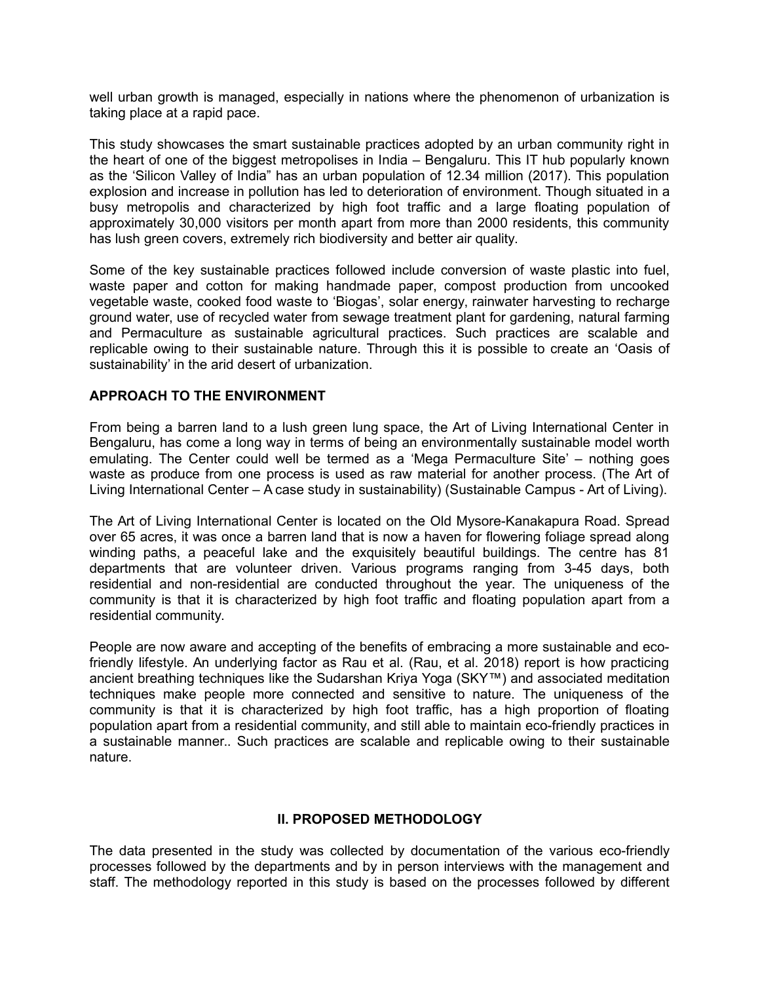well urban growth is managed, especially in nations where the phenomenon of urbanization is taking place at a rapid pace.

This study showcases the smart sustainable practices adopted by an urban community right in the heart of one of the biggest metropolises in India – Bengaluru. This IT hub popularly known as the 'Silicon Valley of India" has an urban population of 12.34 million (2017). This population explosion and increase in pollution has led to deterioration of environment. Though situated in a busy metropolis and characterized by high foot traffic and a large floating population of approximately 30,000 visitors per month apart from more than 2000 residents, this community has lush green covers, extremely rich biodiversity and better air quality.

Some of the key sustainable practices followed include conversion of waste plastic into fuel, waste paper and cotton for making handmade paper, compost production from uncooked vegetable waste, cooked food waste to 'Biogas', solar energy, rainwater harvesting to recharge ground water, use of recycled water from sewage treatment plant for gardening, natural farming and Permaculture as sustainable agricultural practices. Such practices are scalable and replicable owing to their sustainable nature. Through this it is possible to create an 'Oasis of sustainability' in the arid desert of urbanization.

## **APPROACH TO THE ENVIRONMENT**

From being a barren land to a lush green lung space, the Art of Living International Center in Bengaluru, has come a long way in terms of being an environmentally sustainable model worth emulating. The Center could well be termed as a 'Mega Permaculture Site' – nothing goes waste as produce from one process is used as raw material for another process. (The Art of Living International Center – A case study in sustainability) (Sustainable Campus - Art of Living).

The Art of Living International Center is located on the Old Mysore-Kanakapura Road. Spread over 65 acres, it was once a barren land that is now a haven for flowering foliage spread along winding paths, a peaceful lake and the exquisitely beautiful buildings. The centre has 81 departments that are volunteer driven. Various programs ranging from 3-45 days, both residential and non-residential are conducted throughout the year. The uniqueness of the community is that it is characterized by high foot traffic and floating population apart from a residential community.

People are now aware and accepting of the benefits of embracing a more sustainable and ecofriendly lifestyle. An underlying factor as Rau et al. (Rau, et al. 2018) report is how practicing ancient breathing techniques like the Sudarshan Kriya Yoga (SKY™) and associated meditation techniques make people more connected and sensitive to nature. The uniqueness of the community is that it is characterized by high foot traffic, has a high proportion of floating population apart from a residential community, and still able to maintain eco-friendly practices in a sustainable manner.. Such practices are scalable and replicable owing to their sustainable nature.

# **II. PROPOSED METHODOLOGY**

The data presented in the study was collected by documentation of the various eco-friendly processes followed by the departments and by in person interviews with the management and staff. The methodology reported in this study is based on the processes followed by different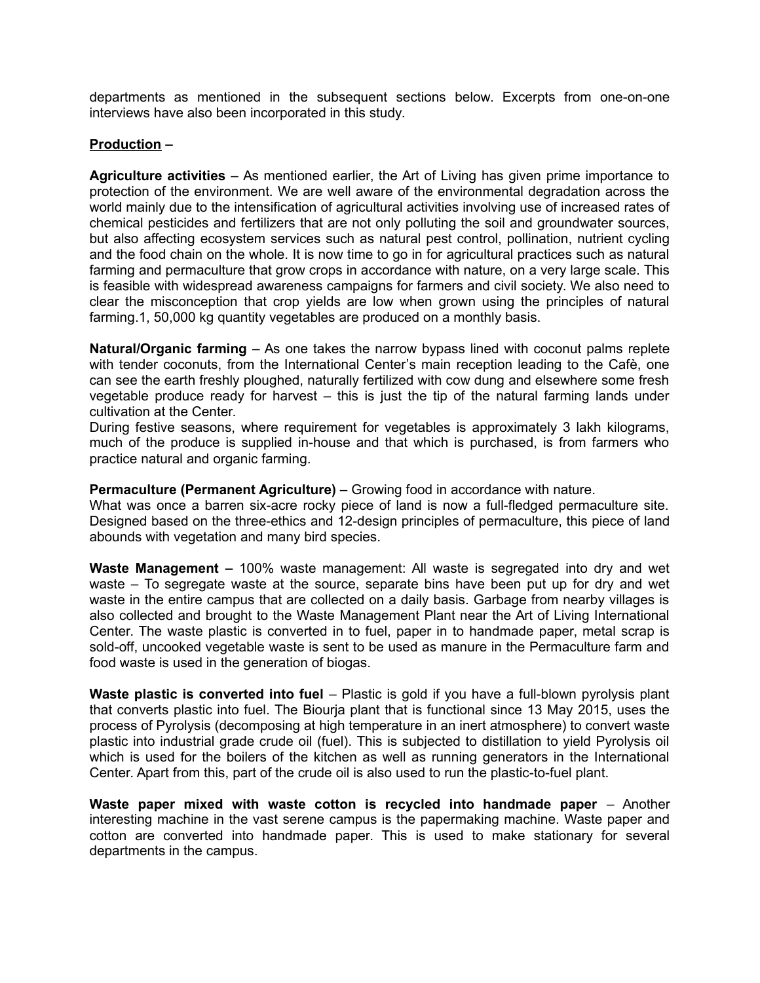departments as mentioned in the subsequent sections below. Excerpts from one-on-one interviews have also been incorporated in this study.

## **Production –**

**Agriculture activities** – As mentioned earlier, the Art of Living has given prime importance to protection of the environment. We are well aware of the environmental degradation across the world mainly due to the intensification of agricultural activities involving use of increased rates of chemical pesticides and fertilizers that are not only polluting the soil and groundwater sources, but also affecting ecosystem services such as natural pest control, pollination, nutrient cycling and the food chain on the whole. It is now time to go in for agricultural practices such as natural farming and permaculture that grow crops in accordance with nature, on a very large scale. This is feasible with widespread awareness campaigns for farmers and civil society. We also need to clear the misconception that crop yields are low when grown using the principles of natural farming.1, 50,000 kg quantity vegetables are produced on a monthly basis.

**Natural/Organic farming** – As one takes the narrow bypass lined with coconut palms replete with tender coconuts, from the International Center's main reception leading to the Cafè, one can see the earth freshly ploughed, naturally fertilized with cow dung and elsewhere some fresh vegetable produce ready for harvest – this is just the tip of the natural farming lands under cultivation at the Center.

During festive seasons, where requirement for vegetables is approximately 3 lakh kilograms, much of the produce is supplied in-house and that which is purchased, is from farmers who practice natural and organic farming.

**Permaculture (Permanent Agriculture)** – Growing food in accordance with nature.

What was once a barren six-acre rocky piece of land is now a full-fledged permaculture site. Designed based on the three-ethics and 12-design principles of permaculture, this piece of land abounds with vegetation and many bird species.

**Waste Management –** 100% waste management: All waste is segregated into dry and wet waste – To segregate waste at the source, separate bins have been put up for dry and wet waste in the entire campus that are collected on a daily basis. Garbage from nearby villages is also collected and brought to the Waste Management Plant near the Art of Living International Center. The waste plastic is converted in to fuel, paper in to handmade paper, metal scrap is sold-off, uncooked vegetable waste is sent to be used as manure in the Permaculture farm and food waste is used in the generation of biogas.

**Waste plastic is converted into fuel** – Plastic is gold if you have a full-blown pyrolysis plant that converts plastic into fuel. The Biourja plant that is functional since 13 May 2015, uses the process of Pyrolysis (decomposing at high temperature in an inert atmosphere) to convert waste plastic into industrial grade crude oil (fuel). This is subjected to distillation to yield Pyrolysis oil which is used for the boilers of the kitchen as well as running generators in the International Center. Apart from this, part of the crude oil is also used to run the plastic-to-fuel plant.

**Waste paper mixed with waste cotton is recycled into handmade paper** – Another interesting machine in the vast serene campus is the papermaking machine. Waste paper and cotton are converted into handmade paper. This is used to make stationary for several departments in the campus.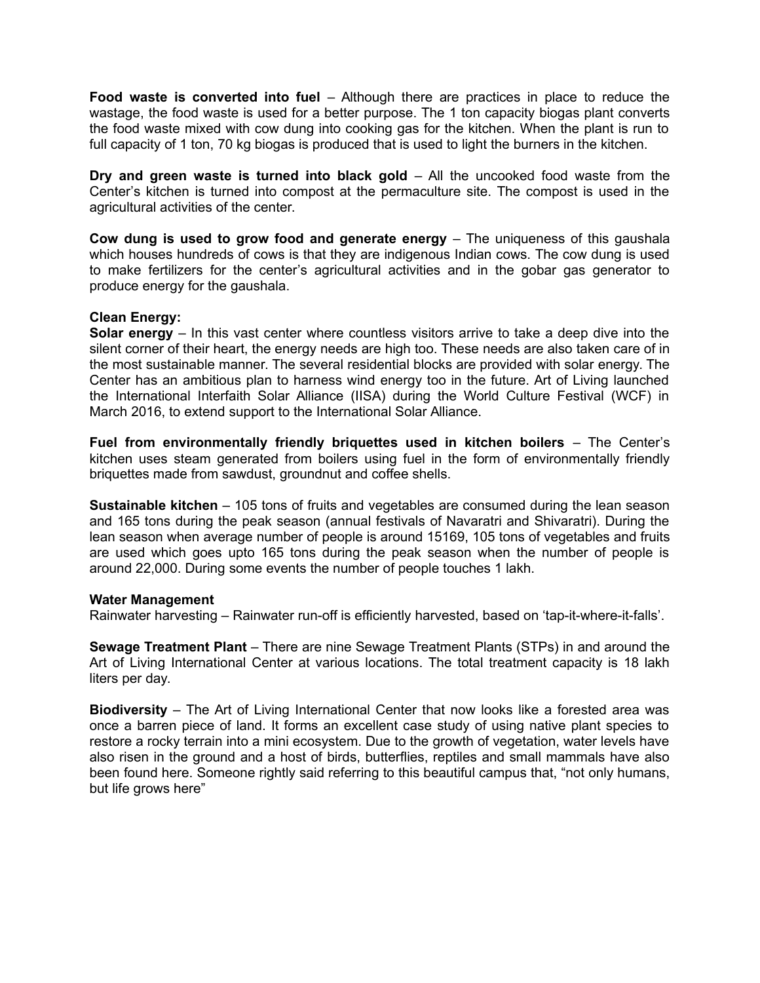**Food waste is converted into fuel** – Although there are practices in place to reduce the wastage, the food waste is used for a better purpose. The 1 ton capacity biogas plant converts the food waste mixed with cow dung into cooking gas for the kitchen. When the plant is run to full capacity of 1 ton, 70 kg biogas is produced that is used to light the burners in the kitchen.

**Dry and green waste is turned into black gold – All the uncooked food waste from the** Center's kitchen is turned into compost at the permaculture site. The compost is used in the agricultural activities of the center.

**Cow dung is used to grow food and generate energy** – The uniqueness of this gaushala which houses hundreds of cows is that they are indigenous Indian cows. The cow dung is used to make fertilizers for the center's agricultural activities and in the gobar gas generator to produce energy for the gaushala.

## **Clean Energy:**

**Solar energy** – In this vast center where countless visitors arrive to take a deep dive into the silent corner of their heart, the energy needs are high too. These needs are also taken care of in the most sustainable manner. The several residential blocks are provided with solar energy. The Center has an ambitious plan to harness wind energy too in the future. Art of Living launched the International Interfaith Solar Alliance (IISA) during the World Culture Festival (WCF) in March 2016, to extend support to the International Solar Alliance.

**Fuel from environmentally friendly briquettes used in kitchen boilers** – The Center's kitchen uses steam generated from boilers using fuel in the form of environmentally friendly briquettes made from sawdust, groundnut and coffee shells.

**Sustainable kitchen** – 105 tons of fruits and vegetables are consumed during the lean season and 165 tons during the peak season (annual festivals of Navaratri and Shivaratri). During the lean season when average number of people is around 15169, 105 tons of vegetables and fruits are used which goes upto 165 tons during the peak season when the number of people is around 22,000. During some events the number of people touches 1 lakh.

### **Water Management**

Rainwater harvesting – Rainwater run-off is efficiently harvested, based on 'tap-it-where-it-falls'.

**Sewage Treatment Plant** – There are nine Sewage Treatment Plants (STPs) in and around the Art of Living International Center at various locations. The total treatment capacity is 18 lakh liters per day.

**Biodiversity** – The Art of Living International Center that now looks like a forested area was once a barren piece of land. It forms an excellent case study of using native plant species to restore a rocky terrain into a mini ecosystem. Due to the growth of vegetation, water levels have also risen in the ground and a host of birds, butterflies, reptiles and small mammals have also been found here. Someone rightly said referring to this beautiful campus that, "not only humans, but life grows here"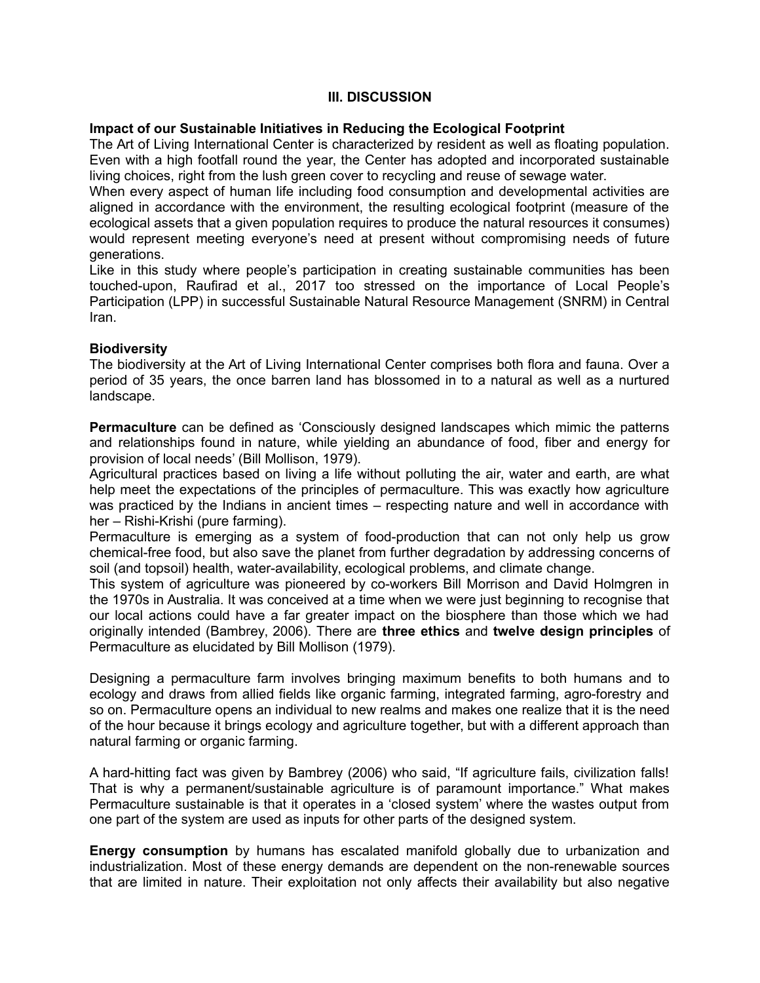# **III. DISCUSSION**

### **Impact of our Sustainable Initiatives in Reducing the Ecological Footprint**

The Art of Living International Center is characterized by resident as well as floating population. Even with a high footfall round the year, the Center has adopted and incorporated sustainable living choices, right from the lush green cover to recycling and reuse of sewage water.

When every aspect of human life including food consumption and developmental activities are aligned in accordance with the environment, the resulting ecological footprint (measure of the ecological assets that a given population requires to produce the natural resources it consumes) would represent meeting everyone's need at present without compromising needs of future generations.

Like in this study where people's participation in creating sustainable communities has been touched-upon, Raufirad et al., 2017 too stressed on the importance of Local People's Participation (LPP) in successful Sustainable Natural Resource Management (SNRM) in Central Iran.

### **Biodiversity**

The biodiversity at the Art of Living International Center comprises both flora and fauna. Over a period of 35 years, the once barren land has blossomed in to a natural as well as a nurtured landscape.

**Permaculture** can be defined as 'Consciously designed landscapes which mimic the patterns and relationships found in nature, while yielding an abundance of food, fiber and energy for provision of local needs' (Bill Mollison, 1979).

Agricultural practices based on living a life without polluting the air, water and earth, are what help meet the expectations of the principles of permaculture. This was exactly how agriculture was practiced by the Indians in ancient times – respecting nature and well in accordance with her – Rishi-Krishi (pure farming).

Permaculture is emerging as a system of food-production that can not only help us grow chemical-free food, but also save the planet from further degradation by addressing concerns of soil (and topsoil) health, water-availability, ecological problems, and climate change.

This system of agriculture was pioneered by co-workers Bill Morrison and David Holmgren in the 1970s in Australia. It was conceived at a time when we were just beginning to recognise that our local actions could have a far greater impact on the biosphere than those which we had originally intended (Bambrey, 2006). There are **three ethics** and **twelve design principles** of Permaculture as elucidated by Bill Mollison (1979).

Designing a permaculture farm involves bringing maximum benefits to both humans and to ecology and draws from allied fields like organic farming, integrated farming, agro-forestry and so on. Permaculture opens an individual to new realms and makes one realize that it is the need of the hour because it brings ecology and agriculture together, but with a different approach than natural farming or organic farming.

A hard-hitting fact was given by Bambrey (2006) who said, "If agriculture fails, civilization falls! That is why a permanent/sustainable agriculture is of paramount importance." What makes Permaculture sustainable is that it operates in a 'closed system' where the wastes output from one part of the system are used as inputs for other parts of the designed system.

**Energy consumption** by humans has escalated manifold globally due to urbanization and industrialization. Most of these energy demands are dependent on the non-renewable sources that are limited in nature. Their exploitation not only affects their availability but also negative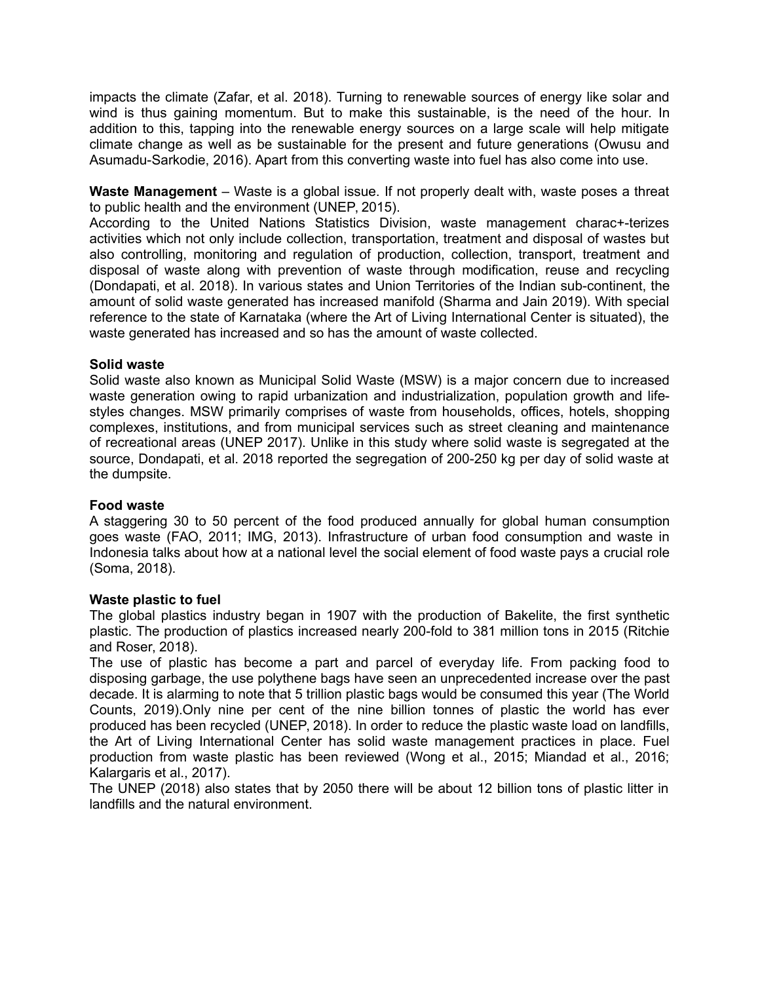impacts the climate (Zafar, et al. 2018). Turning to renewable sources of energy like solar and wind is thus gaining momentum. But to make this sustainable, is the need of the hour. In addition to this, tapping into the renewable energy sources on a large scale will help mitigate climate change as well as be sustainable for the present and future generations (Owusu and Asumadu-Sarkodie, 2016). Apart from this converting waste into fuel has also come into use.

**Waste Management** – Waste is a global issue. If not properly dealt with, waste poses a threat to public health and the environment (UNEP, 2015).

According to the United Nations Statistics Division, waste management charac+-terizes activities which not only include collection, transportation, treatment and disposal of wastes but also controlling, monitoring and regulation of production, collection, transport, treatment and disposal of waste along with prevention of waste through modification, reuse and recycling (Dondapati, et al. 2018). In various states and Union Territories of the Indian sub-continent, the amount of solid waste generated has increased manifold (Sharma and Jain 2019). With special reference to the state of Karnataka (where the Art of Living International Center is situated), the waste generated has increased and so has the amount of waste collected.

## **Solid waste**

Solid waste also known as Municipal Solid Waste (MSW) is a major concern due to increased waste generation owing to rapid urbanization and industrialization, population growth and lifestyles changes. MSW primarily comprises of waste from households, offices, hotels, shopping complexes, institutions, and from municipal services such as street cleaning and maintenance of recreational areas (UNEP 2017). Unlike in this study where solid waste is segregated at the source, Dondapati, et al. 2018 reported the segregation of 200-250 kg per day of solid waste at the dumpsite.

### **Food waste**

A staggering 30 to 50 percent of the food produced annually for global human consumption goes waste (FAO, 2011; IMG, 2013). Infrastructure of urban food consumption and waste in Indonesia talks about how at a national level the social element of food waste pays a crucial role (Soma, 2018).

### **Waste plastic to fuel**

The global plastics industry began in 1907 with the production of Bakelite, the first synthetic plastic. The production of plastics increased nearly 200-fold to 381 million tons in 2015 (Ritchie and Roser, 2018).

The use of plastic has become a part and parcel of everyday life. From packing food to disposing garbage, the use polythene bags have seen an unprecedented increase over the past decade. It is alarming to note that 5 trillion plastic bags would be consumed this year (The World Counts, 2019).Only nine per cent of the nine billion tonnes of plastic the world has ever produced has been recycled (UNEP, 2018). In order to reduce the plastic waste load on landfills, the Art of Living International Center has solid waste management practices in place. Fuel production from waste plastic has been reviewed (Wong et al., 2015; Miandad et al., 2016; Kalargaris et al., 2017).

The UNEP (2018) also states that by 2050 there will be about 12 billion tons of plastic litter in landfills and the natural environment.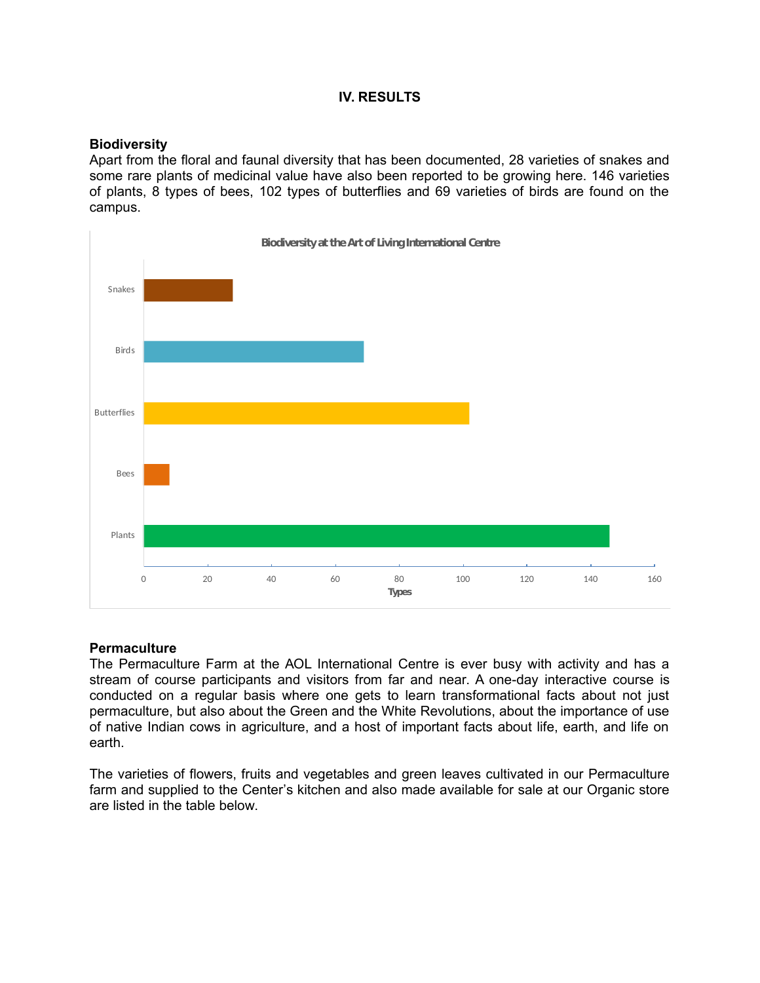## **IV. RESULTS**

#### **Biodiversity**

Apart from the floral and faunal diversity that has been documented, 28 varieties of snakes and some rare plants of medicinal value have also been reported to be growing here. 146 varieties of plants, 8 types of bees, 102 types of butterflies and 69 varieties of birds are found on the campus.



### **Permaculture**

The Permaculture Farm at the AOL International Centre is ever busy with activity and has a stream of course participants and visitors from far and near. A one-day interactive course is conducted on a regular basis where one gets to learn transformational facts about not just permaculture, but also about the Green and the White Revolutions, about the importance of use of native Indian cows in agriculture, and a host of important facts about life, earth, and life on earth.

The varieties of flowers, fruits and vegetables and green leaves cultivated in our Permaculture farm and supplied to the Center's kitchen and also made available for sale at our Organic store are listed in the table below.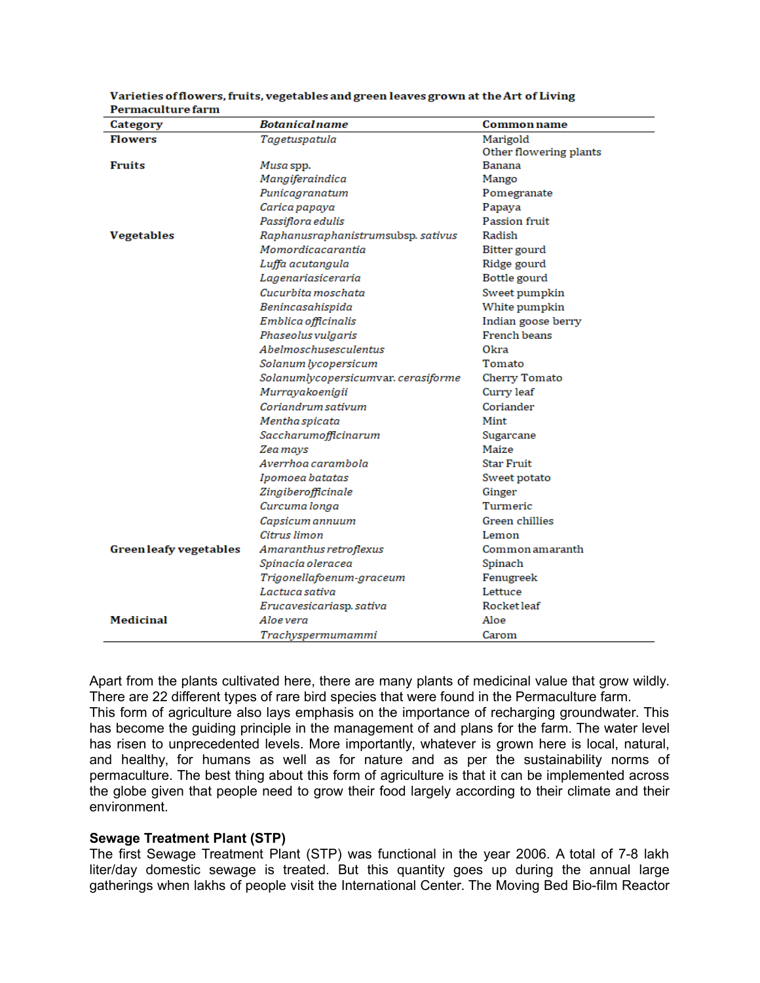| Category               | <b>Botanicalname</b>                | <b>Common name</b>     |
|------------------------|-------------------------------------|------------------------|
| <b>Flowers</b>         | Tagetuspatula                       | Marigold               |
|                        |                                     | Other flowering plants |
| Fruits                 | Musa spp.                           | Banana                 |
|                        | Mangiferaindica                     | Mango                  |
|                        | Punicagranatum                      | Pomegranate            |
|                        | Carica papaya                       | Papaya                 |
|                        | Passiflora edulis                   | <b>Passion fruit</b>   |
| <b>Vegetables</b>      | Raphanusraphanistrumsubsp. sativus  | Radish                 |
|                        | Momordicacarantia                   | Bitter gourd           |
|                        | Luffa acutangula                    | Ridge gourd            |
|                        | Lagenariasiceraria                  | Bottle gourd           |
|                        | Cucurbita moschata                  | Sweet pumpkin          |
|                        | Benincasahispida                    | White pumpkin          |
|                        | Emblica officinalis                 | Indian goose berry     |
|                        | Phaseolus vulgaris                  | French beans           |
|                        | <i><b>Abelmoschusesculentus</b></i> | 0kra                   |
|                        | Solanum lycopersicum                | Tomato                 |
|                        | Solanumlycopersicumvar.cerasiforme  | <b>Cherry Tomato</b>   |
|                        | Murrayakoenigii                     | Curry leaf             |
|                        | Coriandrum sativum                  | Coriander              |
|                        | Mentha spicata                      | Mint                   |
|                        | Saccharumofficinarum                | Sugarcane              |
|                        | Zea mays                            | Maize                  |
|                        | Averrhoa carambola                  | <b>Star Fruit</b>      |
|                        | Ipomoea batatas                     | Sweet potato           |
|                        | Zingiberofficinale                  | Ginger                 |
|                        | Curcuma longa                       | Turmeric               |
|                        | Capsicum annuum                     | Green chillies         |
|                        | Citrus limon                        | Lemon                  |
| Green leafy vegetables | Amaranthus retroflexus              | Common amaranth        |
|                        | Spinacia oleracea                   | Spinach                |
|                        | Trigonellafoenum-graceum            | Fenugreek              |
|                        | Lactuca sativa                      | Lettuce                |
|                        | Erucavesicariasp. sativa            | Rocket leaf            |
| <b>Medicinal</b>       | Aloe vera                           | Aloe                   |
|                        | Trachyspermumammi                   | Carom                  |

Varieties of flowers, fruits, vegetables and green leaves grown at the Art of Living Permaculture farm

Apart from the plants cultivated here, there are many plants of medicinal value that grow wildly. There are 22 different types of rare bird species that were found in the Permaculture farm. This form of agriculture also lays emphasis on the importance of recharging groundwater. This has become the guiding principle in the management of and plans for the farm. The water level has risen to unprecedented levels. More importantly, whatever is grown here is local, natural, and healthy, for humans as well as for nature and as per the sustainability norms of permaculture. The best thing about this form of agriculture is that it can be implemented across the globe given that people need to grow their food largely according to their climate and their environment.

### **Sewage Treatment Plant (STP)**

The first Sewage Treatment Plant (STP) was functional in the year 2006. A total of 7-8 lakh liter/day domestic sewage is treated. But this quantity goes up during the annual large gatherings when lakhs of people visit the International Center. The Moving Bed Bio-film Reactor